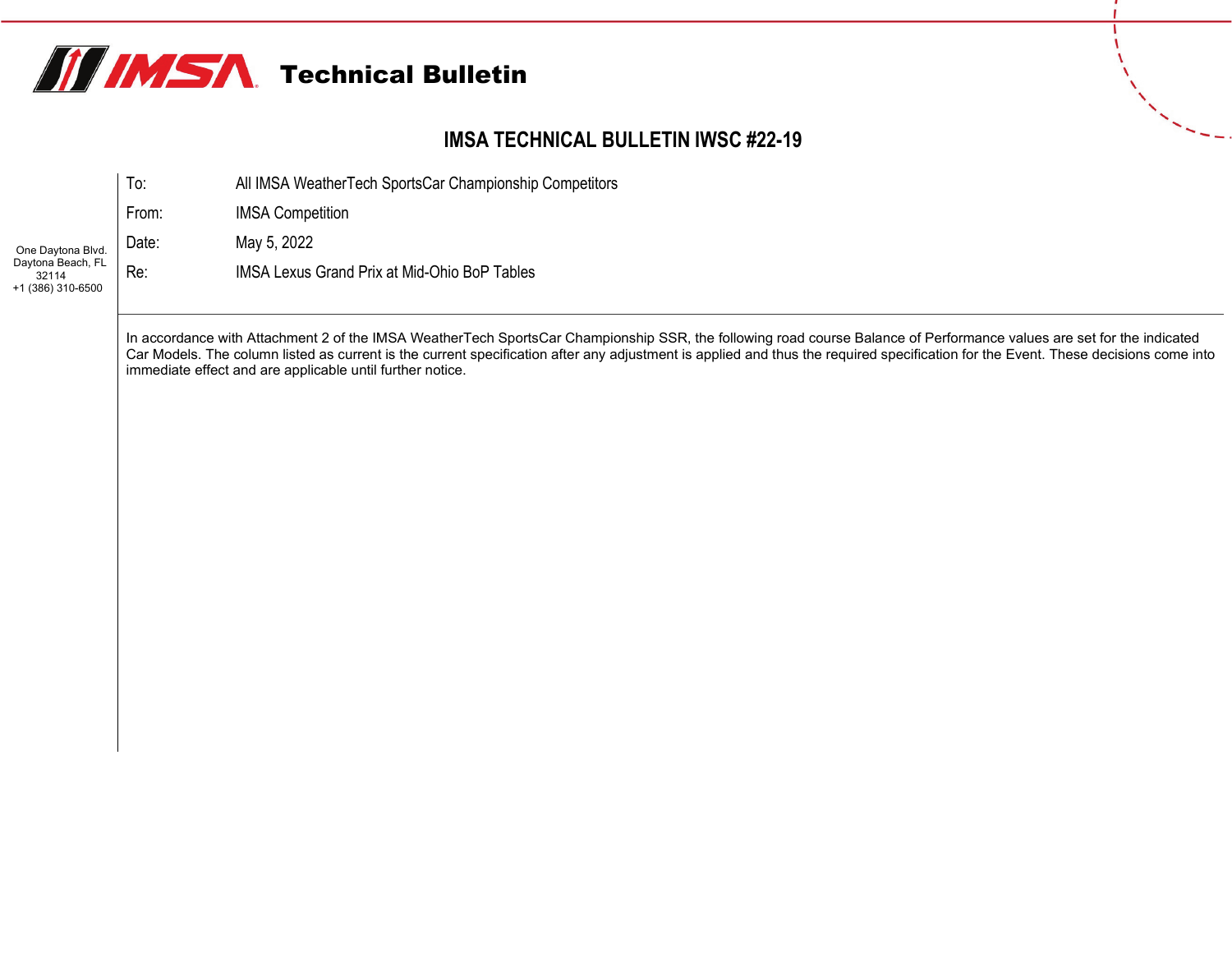

### **IMSA TECHNICAL BULLETIN IWSC #22-19**

|                                                 | lo:   | All IMSA WeatherTech SportsCar Championship Competitors |
|-------------------------------------------------|-------|---------------------------------------------------------|
|                                                 | From: | <b>IMSA Competition</b>                                 |
| One Daytona Blvd.                               | Date: | May 5, 2022                                             |
| Daytona Beach, FL<br>32114<br>+1 (386) 310-6500 | Re:   | <b>IMSA Lexus Grand Prix at Mid-Ohio BoP Tables</b>     |
|                                                 |       |                                                         |

In accordance with Attachment 2 of the IMSA WeatherTech SportsCar Championship SSR, the following road course Balance of Performance values are set for the indicated Car Models. The column listed as current is the current specification after any adjustment is applied and thus the required specification for the Event. These decisions come into immediate effect and are applicable until further notice.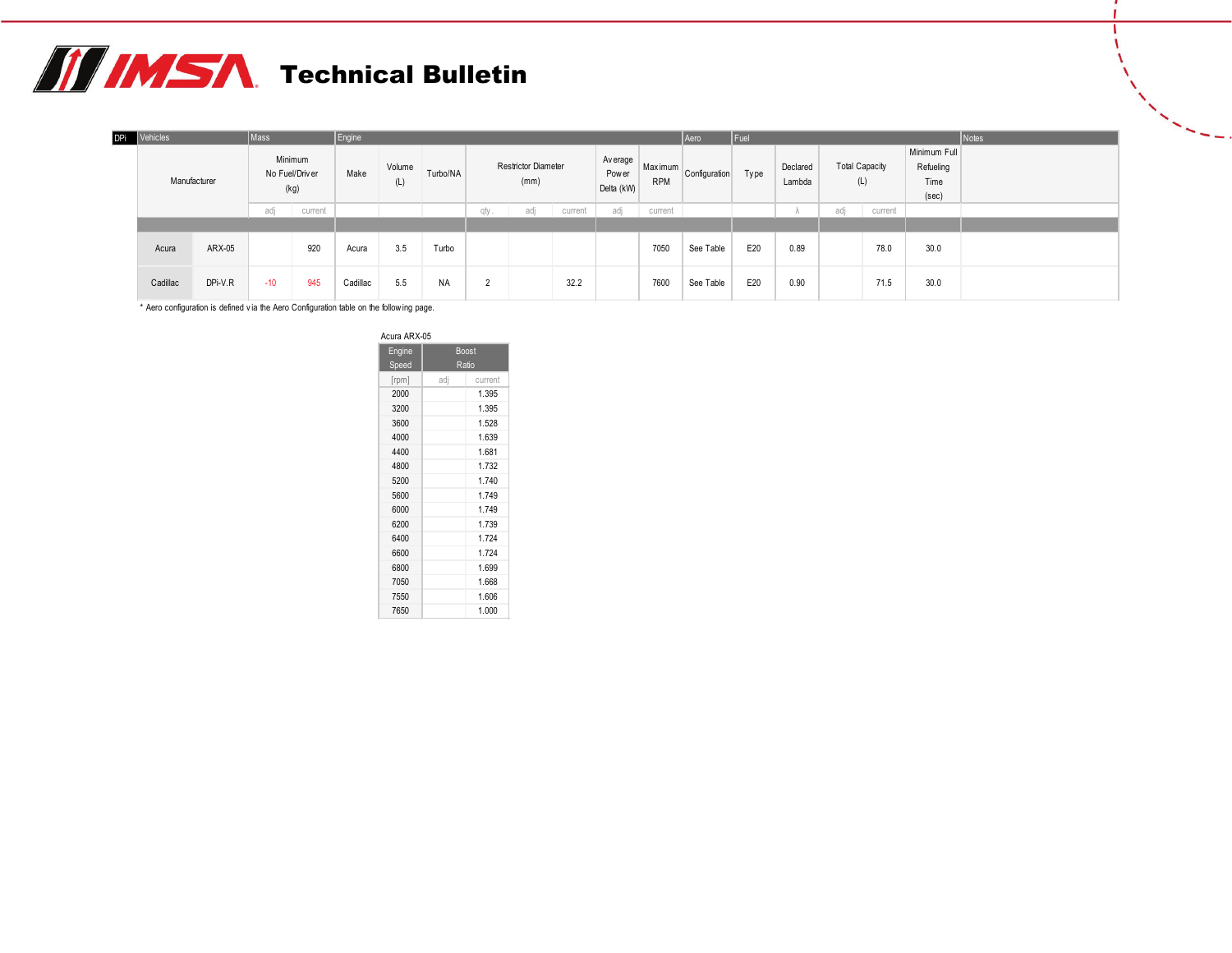## **THIMSA** Technical Bulletin

| <b>DPi</b> | Vehicles |              | Mass  |                                   | Engine   |               |           |             |                                    |         |                                  |                       | Aero          | $ $ Fuel |                    |                       |         |                                            | Notes |
|------------|----------|--------------|-------|-----------------------------------|----------|---------------|-----------|-------------|------------------------------------|---------|----------------------------------|-----------------------|---------------|----------|--------------------|-----------------------|---------|--------------------------------------------|-------|
|            |          | Manufacturer |       | Minimum<br>No Fuel/Driver<br>(kg) | Make     | Volume<br>(L) | Turbo/NA  |             | <b>Restrictor Diameter</b><br>(mm) |         | Av erage<br>Pow er<br>Delta (kW) | Maximum<br><b>RPM</b> | Configuration | Type     | Declared<br>Lambda | <b>Total Capacity</b> | (L)     | Minimum Full<br>Refueling<br>Time<br>(sec) |       |
|            |          |              | adj   | current                           |          |               |           | qty.        | adj                                | current | adj                              | current               |               |          | $\sqrt{2}$         | adj                   | current |                                            |       |
|            |          |              |       |                                   |          |               |           |             |                                    |         |                                  |                       |               |          |                    |                       |         |                                            |       |
|            | Acura    | ARX-05       |       | 920                               | Acura    | 3.5           | Turbo     |             |                                    |         |                                  | 7050                  | See Table     | E20      | 0.89               |                       | 78.0    | 30.0                                       |       |
|            | Cadillac | DPi-V.R      | $-10$ | 945                               | Cadillac | 5.5           | <b>NA</b> | $\sim$<br>▵ |                                    | 32.2    |                                  | 7600                  | See Table     | E20      | 0.90               |                       | 71.5    | 30.0                                       |       |

\* Aero configuration is defined v ia the Aero Configuration table on the follow ing page.

| Acura ARX-05 |     |              |
|--------------|-----|--------------|
| Engine       |     | <b>Boost</b> |
| Speed        |     | Ratio        |
| [rpm]        | adj | current      |
| 2000         |     | 1.395        |
| 3200         |     | 1.395        |
| 3600         |     | 1.528        |
| 4000         |     | 1.639        |
| 4400         |     | 1.681        |
| 4800         |     | 1.732        |
| 5200         |     | 1 740        |
| 5600         |     | 1.749        |
| 6000         |     | 1.749        |
| 6200         |     | 1.739        |
| 6400         |     | 1 7 2 4      |
| 6600         |     | 1.724        |
| 6800         |     | 1.699        |
| 7050         |     | 1.668        |
| 7550         |     | 1.606        |
| 7650         |     | 1.000        |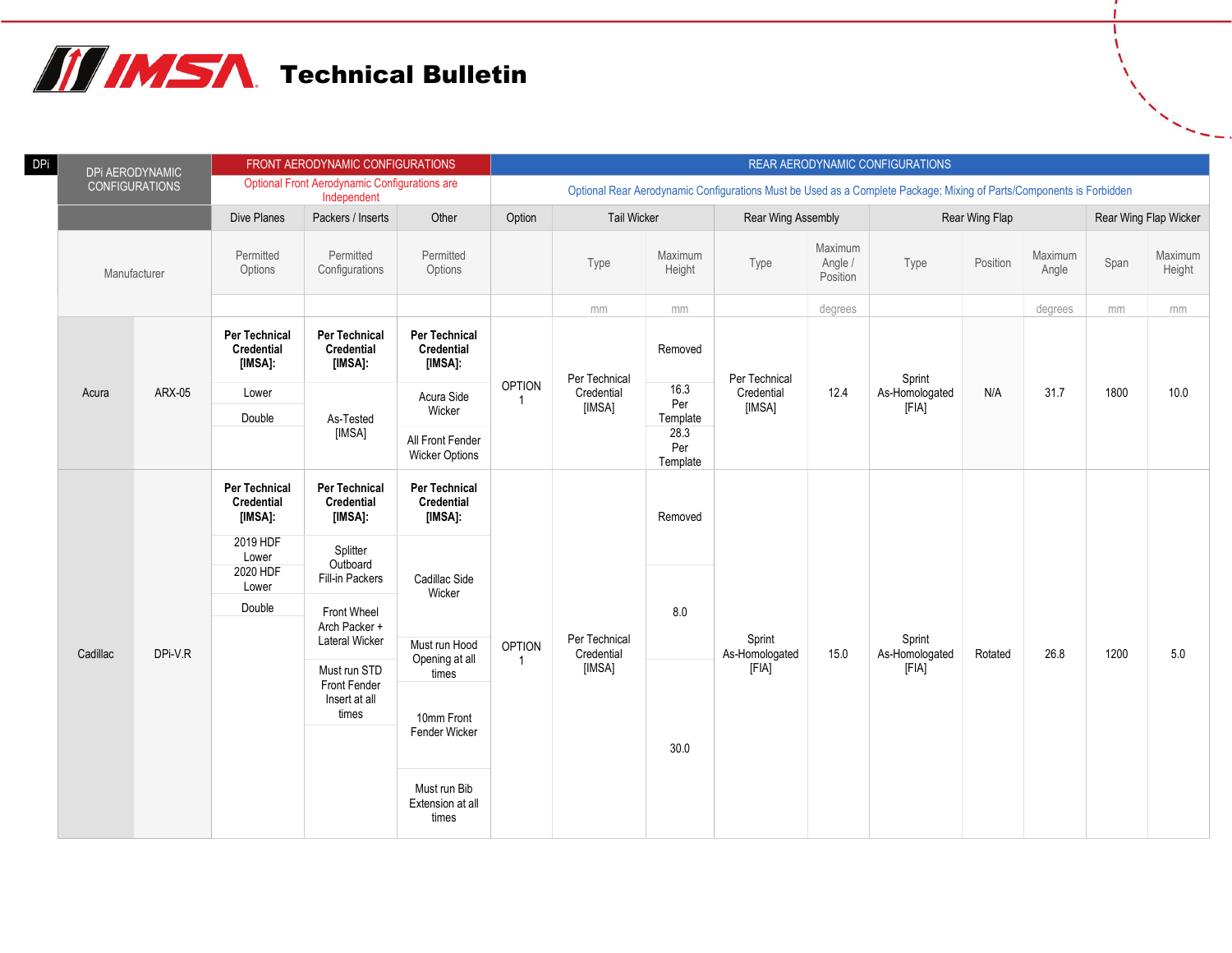

| DPi | DPi AERODYNAMIC       |         |                                               | FRONT AERODYNAMIC CONFIGURATIONS                                    |                                               |               |                             |                         |                                                                                                                      |                                | REAR AERODYNAMIC CONFIGURATIONS |                |                  |      |                       |
|-----|-----------------------|---------|-----------------------------------------------|---------------------------------------------------------------------|-----------------------------------------------|---------------|-----------------------------|-------------------------|----------------------------------------------------------------------------------------------------------------------|--------------------------------|---------------------------------|----------------|------------------|------|-----------------------|
|     | <b>CONFIGURATIONS</b> |         |                                               | <b>Optional Front Aerodynamic Configurations are</b><br>Independent |                                               |               |                             |                         | Optional Rear Aerodynamic Configurations Must be Used as a Complete Package; Mixing of Parts/Components is Forbidden |                                |                                 |                |                  |      |                       |
|     |                       |         | Dive Planes                                   | Packers / Inserts                                                   | Other                                         | Option        | <b>Tail Wicker</b>          |                         | Rear Wing Assembly                                                                                                   |                                |                                 | Rear Wing Flap |                  |      | Rear Wing Flap Wicker |
|     | Manufacturer          |         | Permitted<br>Options                          | Permitted<br>Configurations                                         | Permitted<br>Options                          |               | Type                        | Maximum<br>Height       | Type                                                                                                                 | Maximum<br>Angle /<br>Position | Type                            | Position       | Maximum<br>Angle | Span | Maximum<br>Height     |
|     |                       |         |                                               |                                                                     |                                               |               | mm                          | mm                      |                                                                                                                      | degrees                        |                                 |                | degrees          | mm   | mm                    |
|     |                       |         | <b>Per Technical</b><br>Credential<br>[IMSA]: | <b>Per Technical</b><br>Credential<br>[IMSA]:                       | <b>Per Technical</b><br>Credential<br>[IMSA]: |               | Per Technical               | Removed                 | Per Technical                                                                                                        |                                | Sprint                          |                |                  |      |                       |
|     | Acura                 | ARX-05  | Lower                                         |                                                                     | Acura Side                                    | <b>OPTION</b> | Credential                  | 16.3<br>Per             | Credential                                                                                                           | 12.4                           | As-Homologated                  | N/A            | 31.7             | 1800 | 10.0                  |
|     |                       |         | Double                                        | As-Tested                                                           | Wicker                                        |               | [IMSA]                      | Template                | [IMSA]                                                                                                               |                                | [FIA]                           |                |                  |      |                       |
|     |                       |         |                                               | [IMSA]                                                              | All Front Fender<br><b>Wicker Options</b>     |               |                             | 28.3<br>Per<br>Template |                                                                                                                      |                                |                                 |                |                  |      |                       |
|     |                       |         | Per Technical<br>Credential<br>[IMSA]:        | Per Technical<br><b>Credential</b><br>[IMSA]:                       | Per Technical<br>Credential<br>[IMSA]:        |               |                             | Removed                 |                                                                                                                      |                                |                                 |                |                  |      |                       |
|     |                       |         | 2019 HDF<br>Lower                             | Splitter                                                            |                                               |               |                             |                         |                                                                                                                      |                                |                                 |                |                  |      |                       |
|     |                       |         | 2020 HDF<br>Lower                             | Outboard<br>Fill-in Packers                                         | Cadillac Side<br>Wicker                       |               |                             |                         |                                                                                                                      |                                |                                 |                |                  |      |                       |
|     |                       |         | Double                                        | Front Wheel                                                         |                                               |               |                             | 8.0                     |                                                                                                                      |                                |                                 |                |                  |      |                       |
|     | Cadillac              | DPi-V.R |                                               | Arch Packer +<br><b>Lateral Wicker</b>                              | Must run Hood                                 | <b>OPTION</b> | Per Technical<br>Credential |                         | Sprint<br>As-Homologated                                                                                             | 15.0                           | Sprint<br>As-Homologated        | Rotated        | 26.8             | 1200 | $5.0$                 |
|     |                       |         |                                               | Must run STD                                                        | Opening at all<br>times                       | -1            | [IMSA]                      |                         | [FIA]                                                                                                                |                                | [FIA]                           |                |                  |      |                       |
|     |                       |         |                                               | Front Fender<br>Insert at all<br>times                              | 10mm Front                                    |               |                             |                         |                                                                                                                      |                                |                                 |                |                  |      |                       |
|     |                       |         |                                               |                                                                     | Fender Wicker                                 |               |                             | 30.0                    |                                                                                                                      |                                |                                 |                |                  |      |                       |
|     |                       |         |                                               |                                                                     | Must run Bib<br>Extension at all<br>times     |               |                             |                         |                                                                                                                      |                                |                                 |                |                  |      |                       |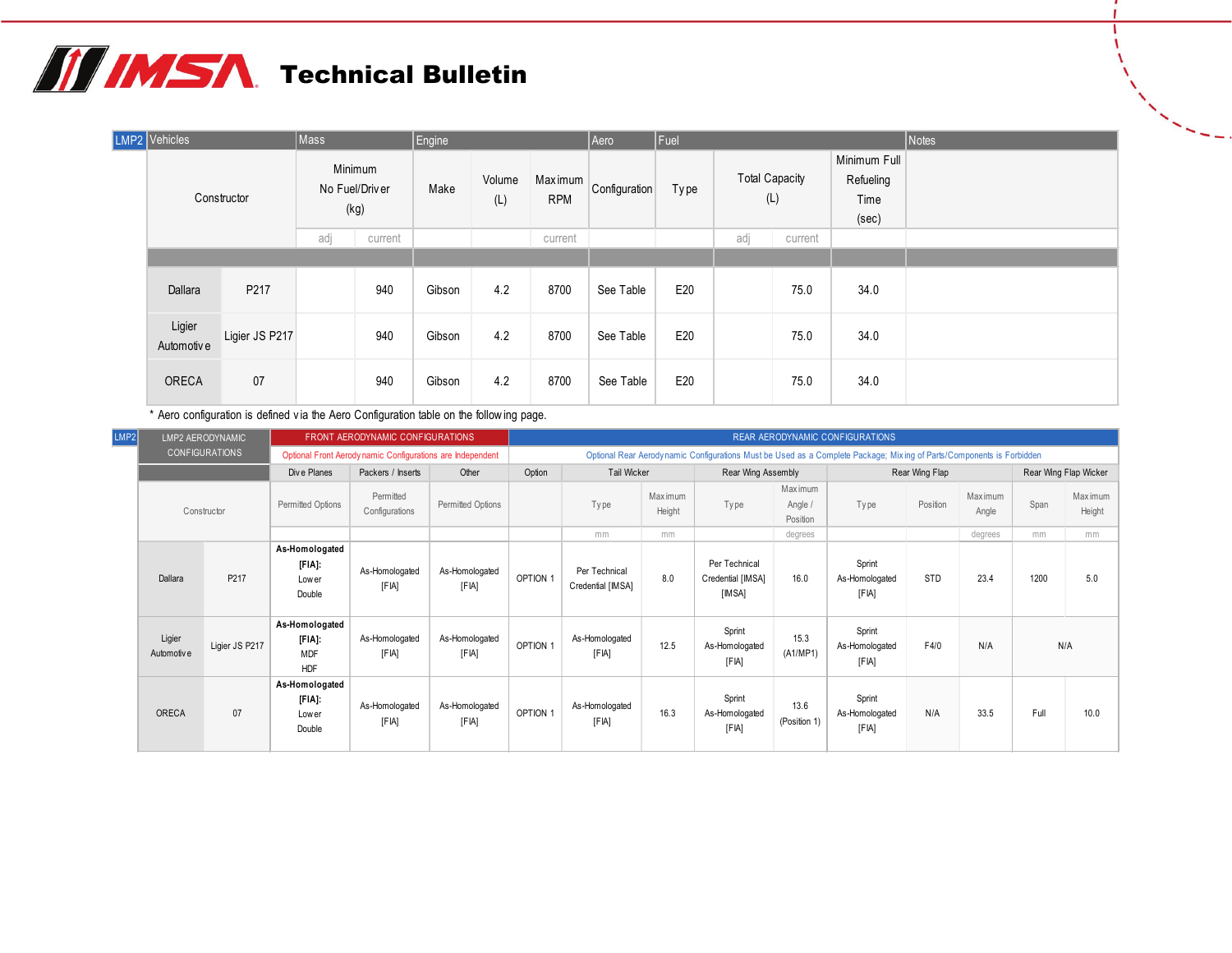# **TE IMSA** Technical Bulletin

| LMP2 Vehicles         |                | Mass |                                   | Engine |               |                       | Aero          | Fuel        |                              |         |                                            | Notes |
|-----------------------|----------------|------|-----------------------------------|--------|---------------|-----------------------|---------------|-------------|------------------------------|---------|--------------------------------------------|-------|
|                       | Constructor    |      | Minimum<br>No Fuel/Driver<br>(kg) | Make   | Volume<br>(L) | Maximum<br><b>RPM</b> | Configuration | <b>Type</b> | <b>Total Capacity</b><br>(L) |         | Minimum Full<br>Refueling<br>Time<br>(sec) |       |
|                       |                | adj  | current                           |        |               | current               |               |             | adj                          | current |                                            |       |
|                       |                |      |                                   |        |               |                       |               |             |                              |         |                                            |       |
| Dallara               | P217           |      | 940                               | Gibson | 4.2           | 8700                  | See Table     | E20         |                              | 75.0    | 34.0                                       |       |
| Ligier<br>Automotiv e | Ligier JS P217 |      | 940                               | Gibson | 4.2           | 8700                  | See Table     | E20         |                              | 75.0    | 34.0                                       |       |
| <b>ORECA</b>          | 07             |      | 940                               | Gibson | 4.2           | 8700                  | See Table     | E20         |                              | 75.0    | 34.0                                       |       |

\* Aero configuration is defined v ia the Aero Configuration table on the follow ing page.

| LMP2 |                       | LMP2 AERODYNAMIC      |                                                         | FRONT AERODYNAMIC CONFIGURATIONS                          |                         |          |                                    |                   |                                              |                                 | <b>REAR AERODYNAMIC CONFIGURATIONS</b>                                                                                |                |                   |      |                       |
|------|-----------------------|-----------------------|---------------------------------------------------------|-----------------------------------------------------------|-------------------------|----------|------------------------------------|-------------------|----------------------------------------------|---------------------------------|-----------------------------------------------------------------------------------------------------------------------|----------------|-------------------|------|-----------------------|
|      |                       | <b>CONFIGURATIONS</b> |                                                         | Optional Front Aerodynamic Configurations are Independent |                         |          |                                    |                   |                                              |                                 | Optional Rear Aerody namic Configurations Must be Used as a Complete Package; Mixing of Parts/Components is Forbidden |                |                   |      |                       |
|      |                       |                       | Dive Planes                                             | Packers / Inserts                                         | Other                   | Option   | Tail Wicker                        |                   | Rear Wing Assembly                           |                                 |                                                                                                                       | Rear Wing Flap |                   |      | Rear Wing Flap Wicker |
|      |                       | Constructor           | Permitted Options                                       | Permitted<br>Configurations                               | Permitted Options       |          | Type                               | Maximum<br>Height | Ty pe                                        | Max imum<br>Angle /<br>Position | Type                                                                                                                  | Position       | Max imum<br>Angle | Span | Maximum<br>Height     |
|      |                       |                       |                                                         |                                                           |                         |          | mm                                 | mm                |                                              | degrees                         |                                                                                                                       |                | degrees           | mm   | mm                    |
|      | Dallara               | P <sub>217</sub>      | As-Homologated<br>[FIA]:<br>Low er<br>Double            | As-Homologated<br>[FIA]                                   | As-Homologated<br>[FIA] | OPTION 1 | Per Technical<br>Credential [IMSA] | 8.0               | Per Technical<br>Credential [IMSA]<br>[IMSA] | 16.0                            | Sprint<br>As-Homologated<br>[FIA]                                                                                     | STD            | 23.4              | 1200 | 5.0                   |
|      | Ligier<br>Automotiv e | Ligier JS P217        | As-Homologated<br>$[FIA]$ :<br><b>MDF</b><br><b>HDF</b> | As-Homologated<br>[FIA]                                   | As-Homologated<br>[FIA] | OPTION 1 | As-Homologated<br>[FIA]            | 12.5              | Sprint<br>As-Homologated<br>[FIA]            | 15.3<br>(A1/MP1)                | Sprint<br>As-Homologated<br>[FIA]                                                                                     | F4/0           | N/A               |      | N/A                   |
|      | ORECA                 | 07                    | As-Homologated<br>$[FIA]$ :<br>Lower<br>Double          | As-Homologated<br>[FIA]                                   | As-Homologated<br>[FIA] | OPTION 1 | As-Homologated<br>[FIA]            | 16.3              | Sprint<br>As-Homologated<br>[FIA]            | 13.6<br>(Position 1)            | Sprint<br>As-Homologated<br>[FIA]                                                                                     | N/A            | 33.5              | Full | 10.0                  |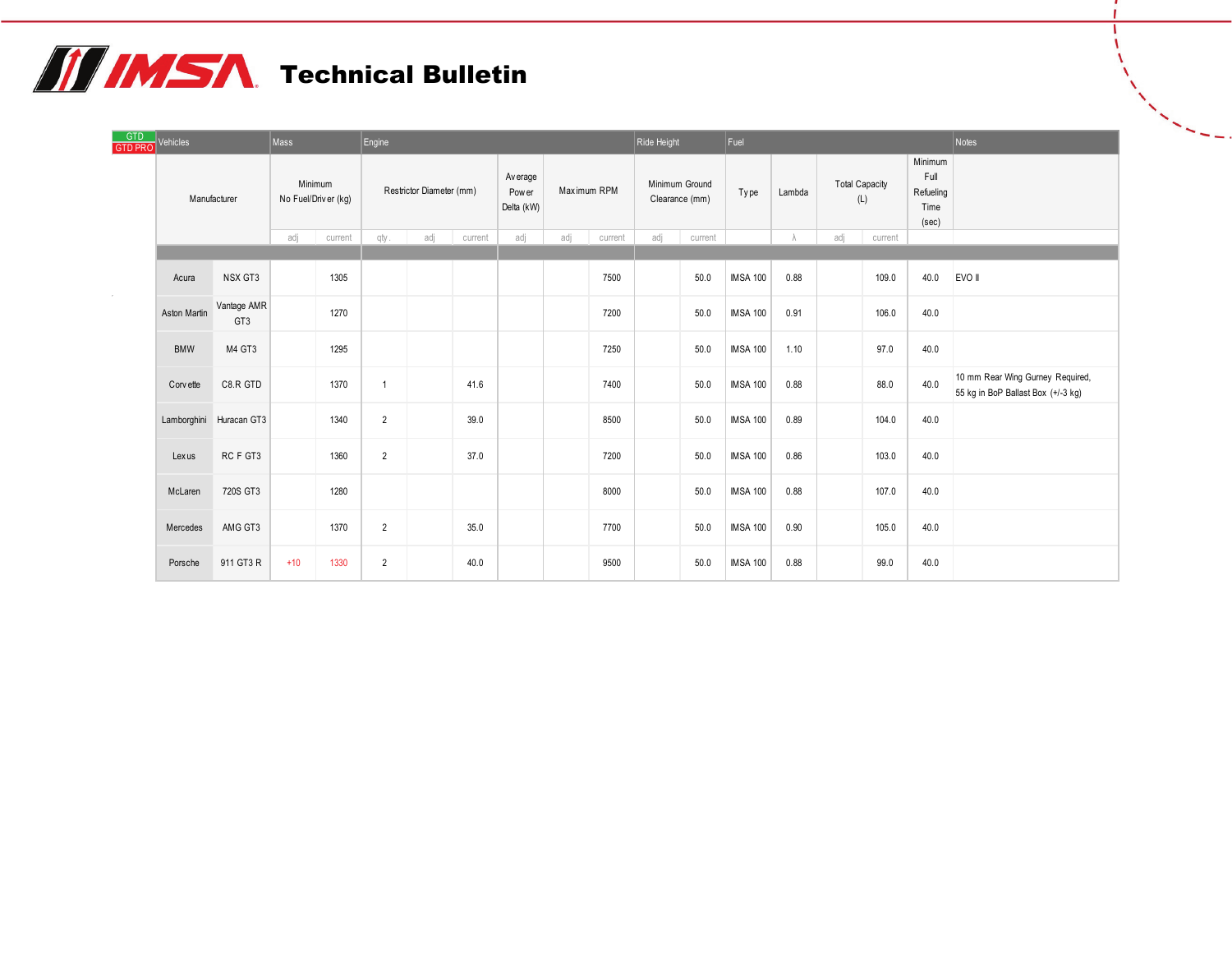# **THIMSA** Technical Bulletin

| GTD<br>GTD PRO | Vehicles     |                         | Mass  |                                | Engine         |                          |         |                                  |             |         | Ride Height                      |         | Fuel            |        |     |                              |                                               | Notes                                                                  |
|----------------|--------------|-------------------------|-------|--------------------------------|----------------|--------------------------|---------|----------------------------------|-------------|---------|----------------------------------|---------|-----------------|--------|-----|------------------------------|-----------------------------------------------|------------------------------------------------------------------------|
|                | Manufacturer |                         |       | Minimum<br>No Fuel/Driver (kg) |                | Restrictor Diameter (mm) |         | Av erage<br>Pow er<br>Delta (kW) | Maximum RPM |         | Minimum Ground<br>Clearance (mm) |         | Type            | Lambda |     | <b>Total Capacity</b><br>(L) | Minimum<br>Full<br>Refueling<br>Time<br>(sec) |                                                                        |
|                |              |                         | adj   | current                        | qty.           | adj                      | current | adj                              | adj         | current | adj                              | current |                 |        | adj | current                      |                                               |                                                                        |
|                | Acura        | NSX GT3                 |       | 1305                           |                |                          |         |                                  |             | 7500    |                                  | 50.0    | <b>IMSA 100</b> | 0.88   |     | 109.0                        | 40.0                                          | EVO II                                                                 |
|                | Aston Martin | Vantage AMR<br>GT3      |       | 1270                           |                |                          |         |                                  |             | 7200    |                                  | 50.0    | <b>IMSA 100</b> | 0.91   |     | 106.0                        | 40.0                                          |                                                                        |
|                | <b>BMW</b>   | M4 GT3                  |       | 1295                           |                |                          |         |                                  |             | 7250    |                                  | 50.0    | <b>IMSA 100</b> | 1.10   |     | 97.0                         | 40.0                                          |                                                                        |
|                | Corv ette    | C8.R GTD                |       | 1370                           | $\mathbf{1}$   |                          | 41.6    |                                  |             | 7400    |                                  | 50.0    | <b>IMSA 100</b> | 0.88   |     | 88.0                         | 40.0                                          | 10 mm Rear Wing Gurney Required,<br>55 kg in BoP Ballast Box (+/-3 kg) |
|                |              | Lamborghini Huracan GT3 |       | 1340                           | $\overline{2}$ |                          | 39.0    |                                  |             | 8500    |                                  | 50.0    | <b>IMSA 100</b> | 0.89   |     | 104.0                        | 40.0                                          |                                                                        |
|                | Lexus        | RC F GT3                |       | 1360                           | $\overline{2}$ |                          | 37.0    |                                  |             | 7200    |                                  | 50.0    | <b>IMSA 100</b> | 0.86   |     | 103.0                        | 40.0                                          |                                                                        |
|                | McLaren      | 720S GT3                |       | 1280                           |                |                          |         |                                  |             | 8000    |                                  | 50.0    | <b>IMSA 100</b> | 0.88   |     | 107.0                        | 40.0                                          |                                                                        |
|                | Mercedes     | AMG GT3                 |       | 1370                           | $\overline{2}$ |                          | 35.0    |                                  |             | 7700    |                                  | 50.0    | <b>IMSA 100</b> | 0.90   |     | 105.0                        | 40.0                                          |                                                                        |
|                | Porsche      | 911 GT3 R               | $+10$ | 1330                           | $\overline{2}$ |                          | 40.0    |                                  |             | 9500    |                                  | 50.0    | <b>IMSA 100</b> | 0.88   |     | 99.0                         | 40.0                                          |                                                                        |